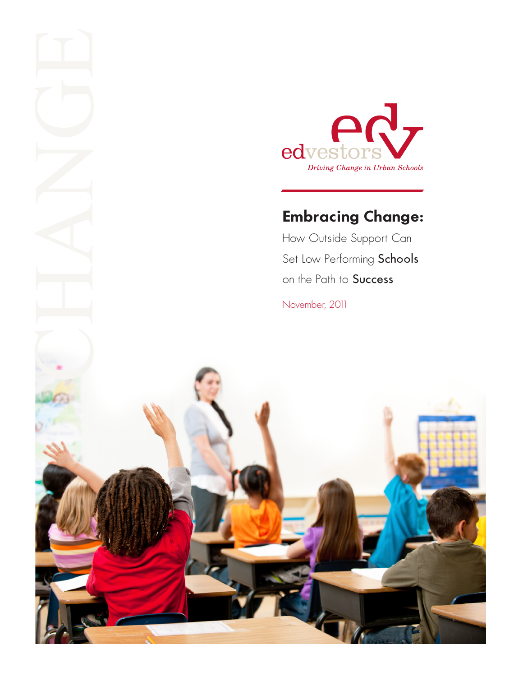

# **Embracing Change:**

How Outside Support Can Set Low Performing Schools on the Path to Success

November, 2011

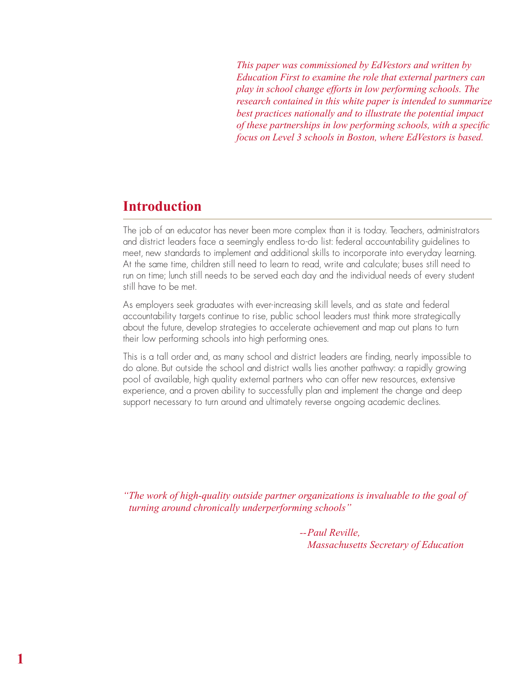*This paper was commissioned by EdVestors and written by Education First to examine the role that external partners can play in school change efforts in low performing schools. The research contained in this white paper is intended to summarize best practices nationally and to illustrate the potential impact of these partnerships in low performing schools, with a specific focus on Level 3 schools in Boston, where EdVestors is based.*

### **Introduction**

**1**

The job of an educator has never been more complex than it is today. Teachers, administrators and district leaders face a seemingly endless to-do list: federal accountability guidelines to meet, new standards to implement and additional skills to incorporate into everyday learning. At the same time, children still need to learn to read, write and calculate; buses still need to run on time; lunch still needs to be served each day and the individual needs of every student still have to be met.

As employers seek graduates with ever-increasing skill levels, and as state and federal accountability targets continue to rise, public school leaders must think more strategically about the future, develop strategies to accelerate achievement and map out plans to turn their low performing schools into high performing ones.

This is a tall order and, as many school and district leaders are finding, nearly impossible to do alone. But outside the school and district walls lies another pathway: a rapidly growing pool of available, high quality external partners who can offer new resources, extensive experience, and a proven ability to successfully plan and implement the change and deep support necessary to turn around and ultimately reverse ongoing academic declines.

*"The work of high-quality outside partner organizations is invaluable to the goal of turning around chronically underperforming schools"*

> *--Paul Reville, Massachusetts Secretary of Education*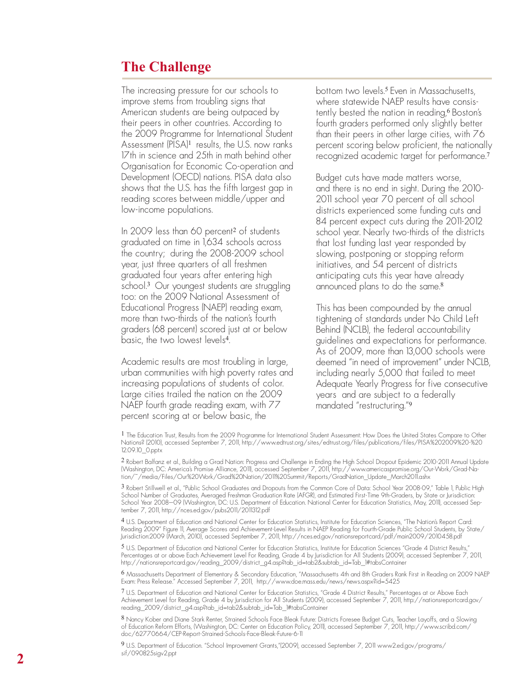## **The Challenge**

The increasing pressure for our schools to improve stems from troubling signs that American students are being outpaced by their peers in other countries. According to the 2009 Programme for International Student Assessment (PISA)<sup>1</sup> results, the U.S. now ranks 17th in science and 25th in math behind other Organisation for Economic Co-operation and Development (OECD) nations. PISA data also shows that the U.S. has the fifth largest gap in reading scores between middle/upper and low-income populations.

In 2009 less than 60 percent <sup>2</sup> of students graduated on time in 1,634 schools across the country; during the 2008-2009 school year, just three quarters of all freshmen graduated four years after entering high school. <sup>3</sup> Our youngest students are struggling too: on the 2009 National Assessment of Educational Progress (NAEP) reading exam, more than two-thirds of the nation's fourth graders (68 percent) scored just at or below basic, the two lowest levels 4.

Academic results are most troubling in large, urban communities with high poverty rates and increasing populations of students of color. Large cities trailed the nation on the 2009 NAEP fourth grade reading exam, with 77 percent scoring at or below basic, the

bottom two levels. <sup>5</sup> Even in Massachusetts, where statewide NAEP results have consis tently bested the nation in reading, <sup>6</sup> Boston's fourth graders performed only slightly better than their peers in other large cities, with 76 percent scoring below proficient, the nationally recognized academic target for performance. 7

Budget cuts have made matters worse, and there is no end in sight. During the 2010- 2011 school year 70 percent of all school districts experienced some funding cuts and 84 percent expect cuts during the 2011-2012 school year. Nearly two-thirds of the districts that lost funding last year responded by slowing, postponing or stopping reform initiatives, and 54 percent of districts anticipating cuts this year have already announced plans to do the same. 8

This has been compounded by the annual tightening of standards under No Child Left Behind (NCLB), the federal accountability guidelines and expectations for performance. As of 2009, more than 13,000 schools were deemed "in need of improvement" under NCLB, including nearly 5,000 that failed to meet Adequate Yearly Progress for five consecutive years and are subject to a federally mandated "restructuring." 9

1 The Education Trust, Results from the 2009 Programme for International Student Assessment: How Does the United States Compare to Other Nations? (2010), accessed September 7, 2011, http://www.edtrust.org/sites/edtrust.org/files/publications/files/PISA%202009%20-%20 12.09.10\_0.pptx

2 Robert Balfanz et al., Building a Grad Nation: Progress and Challenge in Ending the High School Dropout Epidemic 2010-2011 Annual Update (Washington, DC: America's Promise Alliance, 2011), accessed September 7, 2011, http://www.americaspromise.org/Our-Work/Grad-Na tion/~/media/Files/Our%20Work/Grad%20Nation/2011%20Summit/Reports/GradNation\_Update\_March2011.ashx

3 Robert Stillwell et al., "Public School Graduates and Dropouts from the Common Core of Data: School Year 2008-09," Table 1, Public High School Number of Graduates, Averaged Freshman Graduation Rate (AFGR), and Estimated First-Time 9th-Graders, by State or Jurisdiction: School Year 2008–09 (Washington, DC: U.S. Department of Education. National Center for Education Statistics, May, 2011), accessed Sep tember 7, 2011, http://nces.ed.gov/pubs2011/2011312.pdf

4 U.S. Department of Education and National Center for Education Statistics, Institute for Education Sciences, "The Nation's Report Card: Reading 2009" Figure 11, Average Scores and Achievement-Level Results in NAEP Reading for Fourth-Grade Public School Students, by State/ Jurisdiction:2009 (March, 2010), accessed September 7, 2011, http://nces.ed.gov/nationsreportcard/pdf/main2009/2010458.pdf

5 U.S. Department of Education and National Center for Education Statistics, Institute for Education Sciences "Grade 4 District Results," Percentages at or above Each Achievement Level For Reading, Grade 4 by Jurisdiction for All Students (2009), accessed September 7, 2011, http://nationsreportcard.gov/reading\_2009/district\_g4.asp?tab\_id=tab2&subtab\_id=Tab\_1#tabsContainer

6 Massachusetts Department of Elementary & Secondary Education, "Massachusetts 4th and 8th Graders Rank First in Reading on 2009 NAEP Exam: Press Release." Accessed September 7, 2011, http://www.doe.mass.edu/news/news.aspx?id=5425

7 U.S. Department of Education and National Center for Education Statistics, "Grade 4 District Results," Percentages at or Above Each Achievement Level for Reading, Grade 4 by Jurisdiction for All Students (2009), accessed September 7, 2011, http://nationsreportcard.gov/ reading\_2009/district\_g4.asp?tab\_id=tab2&subtab\_id=Tab\_1#tabsContainer

8 Nancy Kober and Diane Stark Renter, Strained Schools Face Bleak Future: Districts Foresee Budget Cuts, Teacher Layoffs, and a Slowing of Education Reform Efforts, (Washington, DC: Center on Education Policy, 2011), accessed September 7, 2011, http://www.scribd.com/ doc/62770664/CEP-Report-Strained-Schools-Face-Bleak-Future-6-11

9 U.S. Department of Education. "School Improvement Grants,"(2009), accessed September 7, 2011 www2.ed.gov/programs/ sif/090825sigv2.ppt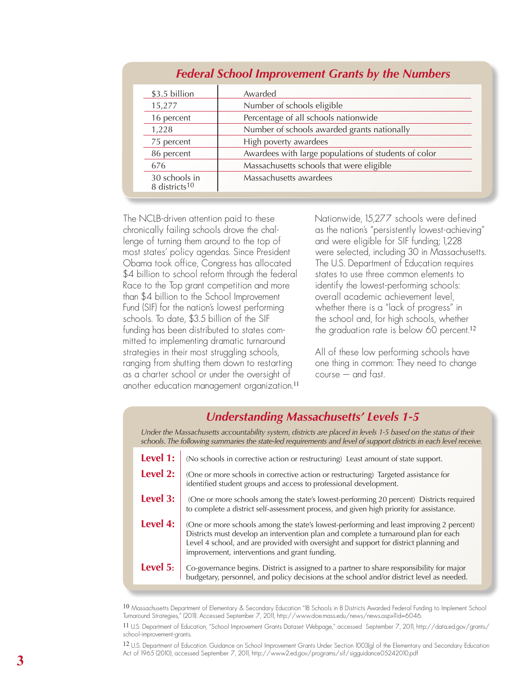| \$3.5 billion                              | Awarded                                              |
|--------------------------------------------|------------------------------------------------------|
| 15,277                                     | Number of schools eligible                           |
| 16 percent                                 | Percentage of all schools nationwide                 |
| 1,228                                      | Number of schools awarded grants nationally          |
| 75 percent                                 | High poverty awardees                                |
| 86 percent                                 | Awardees with large populations of students of color |
| 676                                        | Massachusetts schools that were eligible             |
| 30 schools in<br>8 districts <sup>10</sup> | Massachusetts awardees                               |

#### *Federal School Improvement Grants by the Numbers*

The NCLB-driven attention paid to these chronically failing schools drove the challenge of turning them around to the top of most states' policy agendas. Since President Obama took office, Congress has allocated \$4 billion to school reform through the federal Race to the Top grant competition and more than \$4 billion to the School Improvement Fund (SIF) for the nation's lowest performing schools. To date, \$3.5 billion of the SIF funding has been distributed to states committed to implementing dramatic turnaround strategies in their most struggling schools, ranging from shutting them down to restarting as a charter school or under the oversight of another education management organization.<sup>11</sup> Nationwide, 15,277 schools were defined as the nation's "persistently lowest-achieving" and were eligible for SIF funding; 1,228 were selected, including 30 in Massachusetts. The U.S. Department of Education requires states to use three common elements to identify the lowest-performing schools: overall academic achievement level, whether there is a "lack of progress" in the school and, for high schools, whether the graduation rate is below 60 percent.<sup>12</sup>

All of these low performing schools have one thing in common: They need to change course – and fast.

#### *Understanding Massachusetts' Levels 1-5*

*Under the Massachusetts accountability system, districts are placed in levels 1-5 based on the status of their schools. The following summaries the state-led requirements and level of support districts in each level receive.* 

| <b>Level 1:</b> (No schools in corrective action or restructuring) Least amount of state support.                                                                                                                                                                                                                                        |
|------------------------------------------------------------------------------------------------------------------------------------------------------------------------------------------------------------------------------------------------------------------------------------------------------------------------------------------|
| Level 2:   (One or more schools in corrective action or restructuring) Targeted assistance for<br>identified student groups and access to professional development.                                                                                                                                                                      |
| Level 3:   (One or more schools among the state's lowest-performing 20 percent) Districts required<br>to complete a district self-assessment process, and given high priority for assistance.                                                                                                                                            |
| <b>Level 4:</b> (One or more schools among the state's lowest-performing and least improving 2 percent)<br>Districts must develop an intervention plan and complete a turnaround plan for each<br>Level 4 school, and are provided with oversight and support for district planning and<br>improvement, interventions and grant funding. |
| <b>Level 5:</b> Co-governance begins. District is assigned to a partner to share responsibility for major budgetary, personnel, and policy decisions at the school and/or district level as needed.                                                                                                                                      |

10 Massachusetts Department of Elementary & Secondary Education "18 Schools in 8 Districts Awarded Federal Funding to Implement School Turnaround Strategies," (2011). Accessed September 7, 2011, http://www.doe.mass.edu/news/news.aspx?id=6046.

11 U.S. Department of Education, "School Improvement Grants Dataset Webpage," accessed September 7, 2011, http://data.ed.gov/grants/ school-improvement-grants.

12 U.S. Department of Education. Guidance on School Improvement Grants Under Section 1003(g) of the Elementary and Secondary Education Act of 1965 (2010), accessed September 7, 2011, http://www2.ed.gov/programs/sif/sigguidance05242010.pdf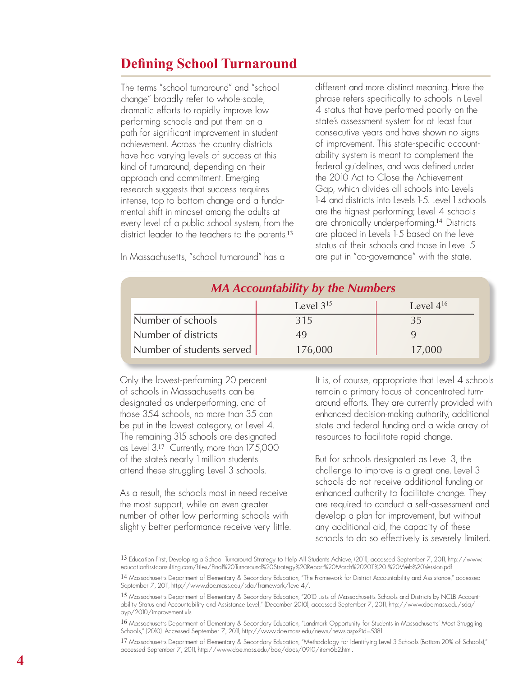## **Defining School Turnaround**

The terms "school turnaround" and "school change" broadly refer to whole-scale, dramatic efforts to rapidly improve low performing schools and put them on a path for significant improvement in student achievement. Across the country districts have had varying levels of success at this kind of turnaround, depending on their approach and commitment. Emerging research suggests that success requires intense, top to bottom change and a fundamental shift in mindset among the adults at every level of a public school system, from the district leader to the teachers to the parents.<sup>13</sup>

In Massachusetts, "school turnaround" has a

different and more distinct meaning. Here the phrase refers specifically to schools in Level 4 status that have performed poorly on the state's assessment system for at least four consecutive years and have shown no signs of improvement. This state-specific accountability system is meant to complement the federal guidelines, and was defined under the 2010 Act to Close the Achievement Gap, which divides all schools into Levels 1-4 and districts into Levels 1-5. Level 1 schools are the highest performing; Level 4 schools are chronically underperforming.<sup>14</sup> Districts are placed in Levels 1-5 based on the level status of their schools and those in Level 5 are put in "co-governance" with the state.

| <b>MA Accountability by the Numbers</b> |                |                |  |  |
|-----------------------------------------|----------------|----------------|--|--|
|                                         | Level $3^{15}$ | Level $4^{16}$ |  |  |
| Number of schools                       | 315            | 35             |  |  |
| Number of districts                     | 49             |                |  |  |
| Number of students served               | 176,000        | 17,000         |  |  |

Only the lowest-performing 20 percent of schools in Massachusetts can be designated as underperforming, and of those 354 schools, no more than 35 can be put in the lowest category, or Level 4. The remaining 315 schools are designated as Level 3.<sup>17</sup> Currently, more than 175,000 of the state's nearly 1 million students attend these struggling Level 3 schools.

As a result, the schools most in need receive the most support, while an even greater number of other low performing schools with slightly better performance receive very little. It is, of course, appropriate that Level 4 schools remain a primary focus of concentrated turnaround efforts. They are currently provided with enhanced decision-making authority, additional state and federal funding and a wide array of resources to facilitate rapid change.

But for schools designated as Level 3, the challenge to improve is a great one. Level 3 schools do not receive additional funding or enhanced authority to facilitate change. They are required to conduct a self-assessment and develop a plan for improvement, but without any additional aid, the capacity of these schools to do so effectively is severely limited.

16 Massachusetts Department of Elementary & Secondary Education, "Landmark Opportunity for Students in Massachusetts' Most Struggling Schools," (2010). Accessed September 7, 2011, http://www.doe.mass.edu/news/news.aspx?id=5381.

17 Massachusetts Department of Elementary & Secondary Education, "Methodology for ldentifying Level 3 Schools (Bottom 20% of Schools)," accessed September 7, 2011, http://www.doe.mass.edu/boe/docs/0910/item6b2.html.

<sup>13</sup> Education First, Developing a School Turnaround Strategy to Help All Students Achieve, (2011), accessed September 7, 2011, http://www. educationfirstconsulting.com/files/Final%20Turnaround%20Strategy%20Report%20March%202011%20-%20Web%20Version.pdf

<sup>14</sup> Massachusetts Department of Elementary & Secondary Education, "The Framework for District Accountability and Assistance," accessed September 7, 2011, http://www.doe.mass.edu/sda/framework/level4/.

<sup>15</sup> Massachusetts Department of Elementary & Secondary Education, "2010 Lists of Massachusetts Schools and Districts by NCLB Accountability Status and Accountability and Assistance Level," (December 2010), accessed September 7, 2011, http://www.doe.mass.edu/sda/ ayp/2010/improvement.xls.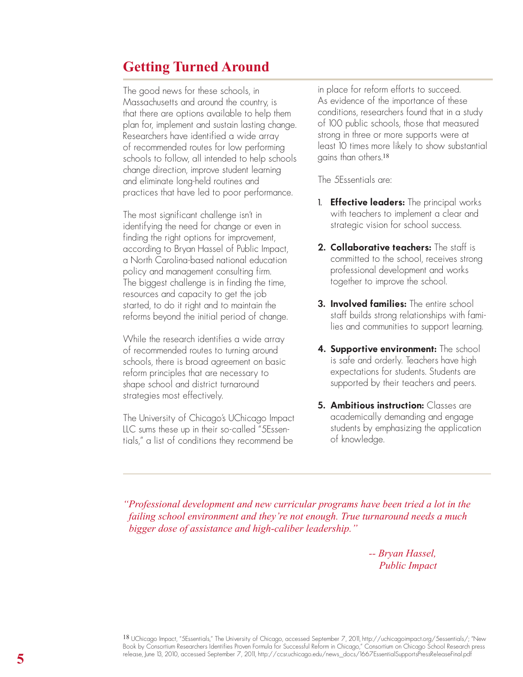#### **Getting Turned Around**

The good news for these schools, in Massachusetts and around the country, is that there are options available to help them plan for, implement and sustain lasting change. Researchers have identified a wide array of recommended routes for low performing schools to follow, all intended to help schools change direction, improve student learning and eliminate long-held routines and practices that have led to poor performance.

The most significant challenge isn't in identifying the need for change or even in finding the right options for improvement, according to Bryan Hassel of Public Impact, a North Carolina-based national education policy and management consulting firm. The biggest challenge is in finding the time, resources and capacity to get the job started, to do it right and to maintain the reforms beyond the initial period of change.

While the research identifies a wide array of recommended routes to turning around schools, there is broad agreement on basic reform principles that are necessary to shape school and district turnaround strategies most effectively.

The University of Chicago's UChicago Impact LLC sums these up in their so-called "5Essentials," a list of conditions they recommend be

in place for reform efforts to succeed. As evidence of the importance of these conditions, researchers found that in a study of 100 public schools, those that measured strong in three or more supports were at least 10 times more likely to show substantial gains than others.<sup>18</sup>

The 5Essentials are:

- 1. **Effective leaders:** The principal works with teachers to implement a clear and strategic vision for school success.
- **2. Collaborative teachers:** The staff is committed to the school, receives strong professional development and works together to improve the school.
- **3. Involved families:** The entire school staff builds strong relationships with families and communities to support learning.
- **4. Supportive environment:** The school is safe and orderly. Teachers have high expectations for students. Students are supported by their teachers and peers.
- **5. Ambitious instruction:** Classes are academically demanding and engage students by emphasizing the application of knowledge.

*"Professional development and new curricular programs have been tried a lot in the failing school environment and they're not enough. True turnaround needs a much bigger dose of assistance and high-caliber leadership."*

> *-- Bryan Hassel, Public Impact*

18 UChicago Impact, "5Essentials," The University of Chicago, accessed September 7, 2011, http://uchicagoimpact.org/5essentials/; "New Book by Consortium Researchers Identifies Proven Formula for Successful Reform in Chicago," Consortium on Chicago School Research press release, June 13, 2010, accessed September 7, 2011, http://ccsr.uchicago.edu/news\_docs/1667EssentialSupportsPressReleaseFinal.pdf **5**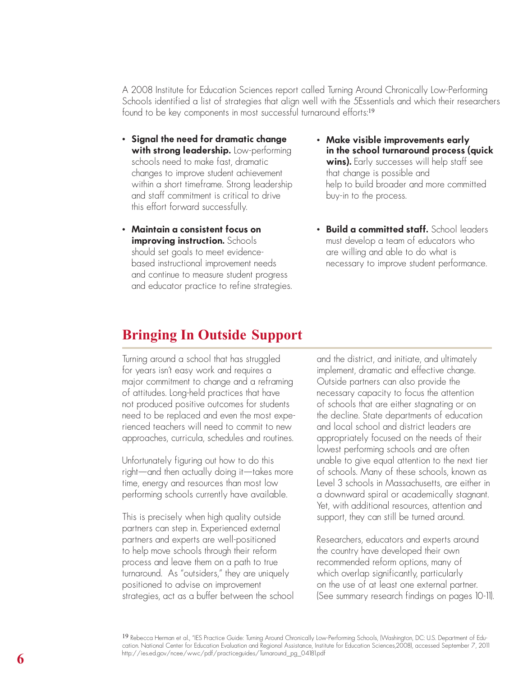A 2008 Institute for Education Sciences report called Turning Around Chronically Low-Performing Schools identified a list of strategies that align well with the 5Essentials and which their researchers found to be key components in most successful turnaround efforts:<sup>19</sup>

- **Signal the need for dramatic change with strong leadership.** Low-performing schools need to make fast, dramatic changes to improve student achievement within a short timeframe. Strong leadership and staff commitment is critical to drive this effort forward successfully.
- **Maintain a consistent focus on improving instruction.** Schools should set goals to meet evidencebased instructional improvement needs and continue to measure student progress and educator practice to refine strategies.
- **Make visible improvements early in the school turnaround process (quick wins).** Early successes will help staff see that change is possible and help to build broader and more committed buy-in to the process.
- **Build a committed staff.** School leaders must develop a team of educators who are willing and able to do what is necessary to improve student performance.

## **Bringing In Outside Support**

Turning around a school that has struggled for years isn't easy work and requires a major commitment to change and a reframing of attitudes. Long-held practices that have not produced positive outcomes for students need to be replaced and even the most experienced teachers will need to commit to new approaches, curricula, schedules and routines.

Unfortunately figuring out how to do this right—and then actually doing it—takes more time, energy and resources than most low performing schools currently have available.

This is precisely when high quality outside partners can step in. Experienced external partners and experts are well-positioned to help move schools through their reform process and leave them on a path to true turnaround. As "outsiders," they are uniquely positioned to advise on improvement strategies, act as a buffer between the school

and the district, and initiate, and ultimately implement, dramatic and effective change. Outside partners can also provide the necessary capacity to focus the attention of schools that are either stagnating or on the decline. State departments of education and local school and district leaders are appropriately focused on the needs of their lowest performing schools and are often unable to give equal attention to the next tier of schools. Many of these schools, known as Level 3 schools in Massachusetts, are either in a downward spiral or academically stagnant. Yet, with additional resources, attention and support, they can still be turned around.

Researchers, educators and experts around the country have developed their own recommended reform options, many of which overlap significantly, particularly on the use of at least one external partner. (See summary research findings on pages 10-11).

19 Rebecca Herman et al., "IES Practice Guide: Turning Around Chronically Low-Performing Schools, (Washington, DC: U.S. Department of Education. National Center for Education Evaluation and Regional Assistance, Institute for Education Sciences,2008), accessed September 7, 2011 http://ies.ed.gov/ncee/wwc/pdf/practiceguides/Turnaround\_pg\_04181.pdf **6**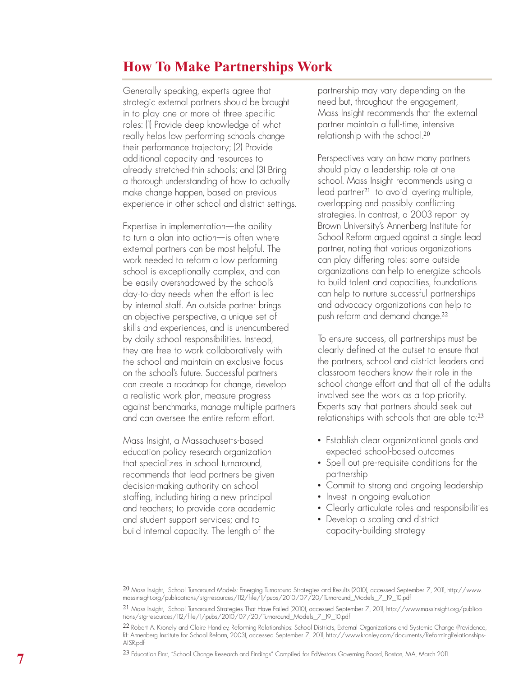## **How To Make Partnerships Work**

Generally speaking, experts agree that strategic external partners should be brought in to play one or more of three specific roles: (1) Provide deep knowledge of what really helps low performing schools change their performance trajectory; (2) Provide additional capacity and resources to already stretched-thin schools; and (3) Bring a thorough understanding of how to actually make change happen, based on previous experience in other school and district settings.

Expertise in implementation—the ability to turn a plan into action—is often where external partners can be most helpful. The work needed to reform a low performing school is exceptionally complex, and can be easily overshadowed by the school's day-to-day needs when the effort is led by internal staff. An outside partner brings an objective perspective, a unique set of skills and experiences, and is unencumbered by daily school responsibilities. Instead, they are free to work collaboratively with the school and maintain an exclusive focus on the school's future. Successful partners can create a roadmap for change, develop a realistic work plan, measure progress against benchmarks, manage multiple partners and can oversee the entire reform effort.

Mass Insight, a Massachusetts-based education policy research organization that specializes in school turnaround, recommends that lead partners be given decision-making authority on school staffing, including hiring a new principal and teachers; to provide core academic and student support services; and to build internal capacity. The length of the

partnership may vary depending on the need but, throughout the engagement, Mass Insight recommends that the external partner maintain a full-time, intensive relationship with the school.<sup>20</sup>

Perspectives vary on how many partners should play a leadership role at one school. Mass Insight recommends using a lead partner<sup>21</sup> to avoid layering multiple, overlapping and possibly conflicting strategies. In contrast, a 2003 report by Brown University's Annenberg Institute for School Reform argued against a single lead partner, noting that various organizations can play differing roles: some outside organizations can help to energize schools to build talent and capacities, foundations can help to nurture successful partnerships and advocacy organizations can help to push reform and demand change.<sup>22</sup>

To ensure success, all partnerships must be clearly defined at the outset to ensure that the partners, school and district leaders and classroom teachers know their role in the school change effort and that all of the adults involved see the work as a top priority. Experts say that partners should seek out relationships with schools that are able to:<sup>23</sup>

- Establish clear organizational goals and expected school-based outcomes
- Spell out pre-requisite conditions for the partnership
- 
- 
- Commit to strong and ongoing leadership Invest in ongoing evaluation Clearly articulate roles and responsibilities Develop a scaling and district
- capacity-building strategy

20 Mass Insight, School Turnaround Models: Emerging Turnaround Strategies and Results (2010), accessed September 7, 2011, http://www. massinsight.org/publications/stg-resources/112/file/1/pubs/2010/07/20/Turnaround\_Models\_7\_19\_10.pdf

21 Mass Insight, School Turnaround Strategies That Have Failed (2010), accessed September 7, 2011, http://www.massinsight.org/publica tions/stg-resources/112/file/1/pubs/2010/07/20/Turnaround\_Models\_7\_19\_10.pdf

22 Robert A. Kronely and Claire Handley, Reforming Relationships: School Districts, External Organizations and Systemic Change (Providence, RI: Annenberg Institute for School Reform, 2003), accessed September 7, 2011, http://www.kronley.com/documents/ReformingRelationships-AISR.pdf

23 Education First, "School Change Research and Findings" Compiled for EdVestors Governing Board, Boston, MA, March 2011.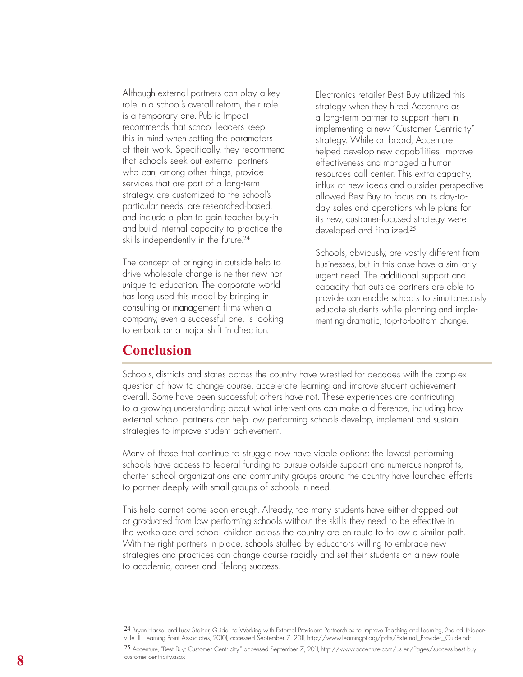Although external partners can play a key role in a school's overall reform, their role is a temporary one. Public Impact recommends that school leaders keep this in mind when setting the parameters of their work. Specifically, they recommend that schools seek out external partners who can, among other things, provide services that are part of a long-term strategy, are customized to the school's particular needs, are researched-based, and include a plan to gain teacher buy-in and build internal capacity to practice the skills independently in the future.<sup>24</sup>

The concept of bringing in outside help to drive wholesale change is neither new nor unique to education. The corporate world has long used this model by bringing in consulting or management firms when a company, even a successful one, is looking to embark on a major shift in direction.

**Conclusion**

Electronics retailer Best Buy utilized this strategy when they hired Accenture as a long-term partner to support them in implementing a new "Customer Centricity" strategy. While on board, Accenture helped develop new capabilities, improve effectiveness and managed a human resources call center. This extra capacity, influx of new ideas and outsider perspective allowed Best Buy to focus on its day-today sales and operations while plans for its new, customer-focused strategy were developed and finalized.<sup>25</sup>

Schools, obviously, are vastly different from businesses, but in this case have a similarly urgent need. The additional support and capacity that outside partners are able to provide can enable schools to simultaneously educate students while planning and implementing dramatic, top-to-bottom change.

Schools, districts and states across the country have wrestled for decades with the complex question of how to change course, accelerate learning and improve student achievement overall. Some have been successful; others have not. These experiences are contributing to a growing understanding about what interventions can make a difference, including how external school partners can help low performing schools develop, implement and sustain strategies to improve student achievement.

Many of those that continue to struggle now have viable options: the lowest performing schools have access to federal funding to pursue outside support and numerous nonprofits, charter school organizations and community groups around the country have launched efforts to partner deeply with small groups of schools in need.

This help cannot come soon enough. Already, too many students have either dropped out or graduated from low performing schools without the skills they need to be effective in the workplace and school children across the country are en route to follow a similar path. With the right partners in place, schools staffed by educators willing to embrace new strategies and practices can change course rapidly and set their students on a new route to academic, career and lifelong success.

24 Bryan Hassel and Lucy Steiner, Guide to Working with External Providers: Partnerships to Improve Teaching and Learning, 2nd ed. (Naperville, IL: Learning Point Associates, 2010), accessed September 7, 2011, http://www.learningpt.org/pdfs/External\_Provider\_Guide.pdf.

25 Accenture, "Best Buy: Customer Centricity," accessed September 7, 2011, http://www.accenture.com/us-en/Pages/success-best-buycustomer-centricity.aspx **8**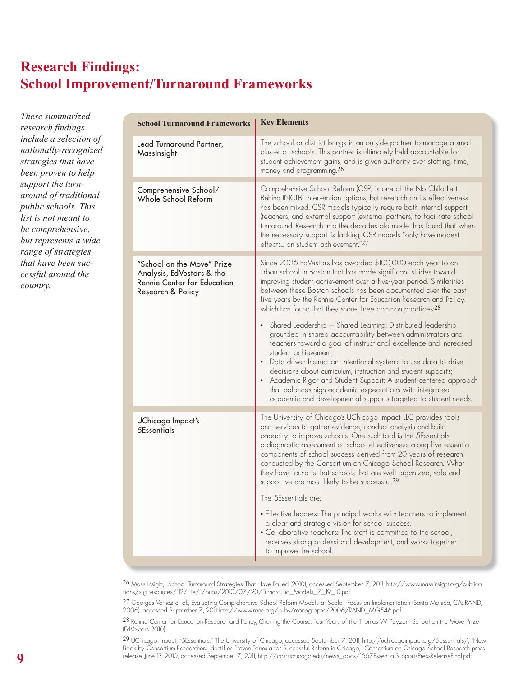# **Research Findings: School Improvement/Turnaround Frameworks**

*These summarized research findings include a selection of nationally-recognized strategies that have been proven to help support the turnaround of traditional public schools. This list is not meant to be comprehensive, but represents a wide range of strategies that have been successful around the country.* 

| <b>School Turnaround Frameworks</b>                                                                         | <b>Key Elements</b>                                                                                                                                                                                                                                                                                                                                                                                                                                                                                                                                                                                                                                                                                                                                                                                                                                                                                                                                                               |
|-------------------------------------------------------------------------------------------------------------|-----------------------------------------------------------------------------------------------------------------------------------------------------------------------------------------------------------------------------------------------------------------------------------------------------------------------------------------------------------------------------------------------------------------------------------------------------------------------------------------------------------------------------------------------------------------------------------------------------------------------------------------------------------------------------------------------------------------------------------------------------------------------------------------------------------------------------------------------------------------------------------------------------------------------------------------------------------------------------------|
| Lead Turnaround Partner,<br>MassInsight                                                                     | The school or district brings in an outside partner to manage a small<br>cluster of schools. This partner is ultimately held accountable for<br>student achievement gains, and is given authority over staffing, time,<br>money and programming. <sup>26</sup>                                                                                                                                                                                                                                                                                                                                                                                                                                                                                                                                                                                                                                                                                                                    |
| Comprehensive School/<br>Whole School Reform                                                                | Comprehensive School Reform (CSR) is one of the No Child Left<br>Behind (NCLB) intervention options, but research on its effectiveness<br>has been mixed. CSR models typically require both internal support<br>(teachers) and external support (external partners) to facilitate school<br>turnaround. Research into the decades-old model has found that when<br>the necessary support is lacking, CSR models "only have modest<br>effects on student achievement."27                                                                                                                                                                                                                                                                                                                                                                                                                                                                                                           |
| "School on the Move" Prize<br>Analysis, EdVestors & the<br>Rennie Center for Education<br>Research & Policy | Since 2006 EdVestors has awarded \$100,000 each year to an<br>urban school in Boston that has made significant strides toward<br>improving student achievement over a five-year period. Similarities<br>between these Boston schools has been documented over the past<br>five years by the Rennie Center for Education Research and Policy,<br>which has found that they share three common practices:28<br>• Shared Leadership - Shared Learning: Distributed leadership<br>grounded in shared accountability between administrators and<br>teachers toward a goal of instructional excellence and increased<br>student achievement;<br>• Data-driven Instruction: Intentional systems to use data to drive<br>decisions about curriculum, instruction and student supports;<br>• Academic Rigor and Student Support: A student-centered approach<br>that balances high academic expectations with integrated<br>academic and developmental supports targeted to student needs. |
| UChicago Impact's<br>5Essentials                                                                            | The University of Chicago's UChicago Impact LLC provides tools<br>and services to gather evidence, conduct analysis and build<br>capacity to improve schools. One such tool is the 5Essentials,<br>a diagnostic assessment of school effectiveness along five essential<br>components of school success derived from 20 years of research<br>conducted by the Consortium on Chicago School Research. What<br>they have found is that schools that are well-organized, safe and<br>supportive are most likely to be successful.29<br>The 5Essentials are:<br>• Effective leaders: The principal works with teachers to implement<br>a clear and strategic vision for school success.<br>• Collaborative teachers: The staff is committed to the school,<br>receives strong professional development, and works together<br>to improve the school.                                                                                                                                  |

26 Mass Insight, School Turnaround Strategies That Have Failed (2010), accessed September 7, 2011, http://www.massinsight.org/publications/stg-resources/112/file/1/pubs/2010/07/20/Turnaround\_Models\_7\_19\_10.pdf

27 Georges Vernez et al., Evaluating Comprehensive School Reform Models at Scale: Focus on Implementation (Santa Monica, CA: RAND, 2006), accessed September 7, 2011 http://www.rand.org/pubs/monographs/2006/RAND\_MG546.pdf

28 Rennie Center for Education Research and Policy, Charting the Course: Four Years of the Thomas W. Payzant School on the Move Prize (EdVestors 2010).

29 UChicago Impact, "5Essentials," The University of Chicago, accessed September 7, 2011, http://uchicagoimpact.org/5essentials/; "New Book by Consortium Researchers Identifies Proven Formula for Successful Reform in Chicago," Consortium on Chicago School Research press release, June 13, 2010, accessed September 7, 2011, http://ccsr.uchicago.edu/news\_docs/1667EssentialSupportsPressReleaseFinal.pdf **9**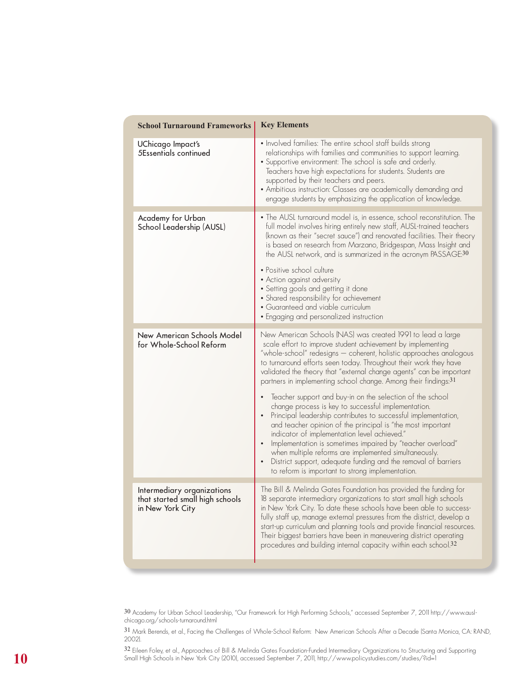| <b>School Turnaround Frameworks</b>                                               | <b>Key Elements</b>                                                                                                                                                                                                                                                                                                                                                                                                                                                                                                                                                                                                                                                                                                                                                                                                                                                                                                                                               |
|-----------------------------------------------------------------------------------|-------------------------------------------------------------------------------------------------------------------------------------------------------------------------------------------------------------------------------------------------------------------------------------------------------------------------------------------------------------------------------------------------------------------------------------------------------------------------------------------------------------------------------------------------------------------------------------------------------------------------------------------------------------------------------------------------------------------------------------------------------------------------------------------------------------------------------------------------------------------------------------------------------------------------------------------------------------------|
| UChicago Impact's<br>5Essentials continued                                        | • Involved families: The entire school staff builds strong<br>relationships with families and communities to support learning.<br>• Supportive environment: The school is safe and orderly.<br>Teachers have high expectations for students. Students are<br>supported by their teachers and peers.<br>• Ambitious instruction: Classes are academically demanding and<br>engage students by emphasizing the application of knowledge.                                                                                                                                                                                                                                                                                                                                                                                                                                                                                                                            |
| Academy for Urban<br>School Leadership (AUSL)                                     | • The AUSL turnaround model is, in essence, school reconstitution. The<br>full model involves hiring entirely new staff, AUSL-trained teachers<br>(known as their "secret sauce") and renovated facilities. Their theory<br>is based on research from Marzano, Bridgespan, Mass Insight and<br>the AUSL network, and is summarized in the acronym PASSAGE:30<br>• Positive school culture<br>• Action against adversity<br>• Setting goals and getting it done<br>• Shared responsibility for achievement<br>• Guaranteed and viable curriculum<br>• Engaging and personalized instruction                                                                                                                                                                                                                                                                                                                                                                        |
| New American Schools Model<br>for Whole-School Reform                             | New American Schools (NAS) was created 1991 to lead a large<br>scale effort to improve student achievement by implementing<br>"whole-school" redesigns — coherent, holistic approaches analogous<br>to turnaround efforts seen today. Throughout their work they have<br>validated the theory that "external change agents" can be important<br>partners in implementing school change. Among their findings:31<br>Teacher support and buy-in on the selection of the school<br>change process is key to successful implementation.<br>Principal leadership contributes to successful implementation,<br>and teacher opinion of the principal is "the most important<br>indicator of implementation level achieved."<br>Implementation is sometimes impaired by "teacher overload"<br>when multiple reforms are implemented simultaneously.<br>District support, adequate funding and the removal of barriers<br>to reform is important to strong implementation. |
| Intermediary organizations<br>that started small high schools<br>in New York City | The Bill & Melinda Gates Foundation has provided the funding for<br>18 separate intermediary organizations to start small high schools<br>in New York City. To date these schools have been able to success-<br>fully staff up, manage external pressures from the district, develop a<br>start-up curriculum and planning tools and provide financial resources.<br>Their biggest barriers have been in maneuvering district operating<br>procedures and building internal capacity within each school.32                                                                                                                                                                                                                                                                                                                                                                                                                                                        |

30 Academy for Urban School Leadership, "Our Framework for High Performing Schools," accessed September 7, 2011 http://www.auslchicago.org/schools-turnaround.html

31 Mark Berends, et al., Facing the Challenges of Whole-School Reform: New American Schools After a Decade (Santa Monica, CA: RAND, 2002).

 $\frac{32}{2}$  Eileen Foley, et al., Approaches of Bill & Melinda Gates Foundation-Funded Intermediary Organizations to Structuring and Supporting<br>Small High Schools in New York City (2010), accessed September 7, 2011, http:/